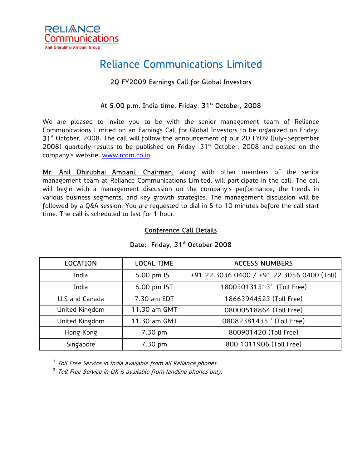

# Reliance Communications Limited

### 2Q FY2009 Earnings Call for Global Investors

## At 5.00 p.m. India time, Friday, 31st October, 2008

We are pleased to invite you to be with the senior management team of Reliance Communications Limited on an Earnings Call for Global Investors to be organized on Friday, 31<sup>st</sup> October, 2008. The call will follow the announcement of our 2Q FY09 (July-September 2008) quarterly results to be published on Friday,  $31<sup>st</sup>$  October, 2008 and posted on the company's website, [www.rcom.co.in](http://www.rcom.co.in/).

Mr. Anil Dhirubhai Ambani, Chairman, along with other members of the senior management team at Reliance Communications Limited, will participate in the call. The call will begin with a management discussion on the company's performance, the trends in various business segments, and key growth strategies. The management discussion will be followed by a Q&A session. You are requested to dial in 5 to 10 minutes before the call start time. The call is scheduled to last for 1 hour.

#### Conference Call Details

| <b>LOCATION</b> | <b>LOCAL TIME</b> | <b>ACCESS NUMBERS</b>                      |
|-----------------|-------------------|--------------------------------------------|
| India           | 5.00 pm IST       | +91 22 3036 0400 / +91 22 3056 0400 (Toll) |
| India           | 5.00 pm IST       | 180030131313 <sup>1</sup> (Toll Free)      |
| U.S and Canada  | 7.30 am EDT       | 18663944523 (Toll Free)                    |
| United Kingdom  | 11.30 am GMT      | 08000518864 (Toll Free)                    |
| United Kingdom  | 11.30 am GMT      | 08082381435 <sup>2</sup> (Toll Free)       |
| Hong Kong       | 7.30 pm           | 800901420 (Toll Free)                      |
| Singapore       | 7.30 pm           | 800 1011906 (Toll Free)                    |

#### Date: Friday, 31<sup>st</sup> October 2008

<sup>1</sup> Toll Free Service in India available from all Reliance phones.

<sup>2</sup> Toll Free Service in UK is available from landline phones only.